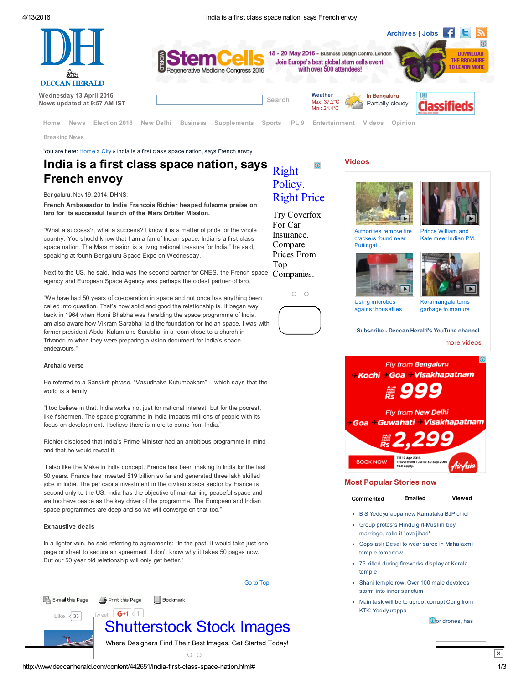4/13/2016 India is a first class space nation, says French envoy

Right [Policy.](https://www.googleadservices.com/pagead/aclk?sa=L&ai=Cb0FyGNMNV9v4JYqNvgTZ6bXIDtC80pVE6d7HpssC-rSM8b4BEAEg24L4BWDlwuSDpA6gAd_po8gDyAEBqQKA0tHmqy9QPqgDAcgDwwSqBLEBT9CgJSpAsiEv8K2hTUvMNWWquuqdAax2KIV6ascOxbF4kWoRnAZF8ZLz6ah6Y2HixKKdrgRXqvgcmLv3IUSHK4R9bmNMFPkoPhURGcXV0vTbw_KS_14SNfJlabul9b42SjIhwbYJxPylhDBLzlg10xdzwWaDA-0Bq78reV6KJLOpz9e40OR_P4LwSNdtxBl-TNSYV-hCMFeCg9bRVqF7AU1xKq2dJSzxoz7NaBk4nSAgiAYBgAeJltw3qAemvhvYBwE&num=1&cid=5GgHX6hpGObGbmXEVPbTE5nK&sig=AOD64_1TAbBBhE3uxv8Z4TbytcMn0YCdKw&client=ca-pub-6098511427863223&adurl=http://clickserve.dartsearch.net/link/click%3F%26%26ds_e_adid%3D88753823313%26ds_e_matchtype%3Dcontent%26ds_e_device%3Dc%26ds_e_network%3Dd%26%26ds_url_v%3D2%26ds_dest_url%3Dhttps://www.coverfox.com/lp/car-insurance/buy/%3Fnetwork%3DDISPLAY%26category%3DIn-Market-Generic%26source%3DDisplayNetwork%26keyword%3D%26matchtype%3D%26creative%3D88753823313%26device%3Dc%26devicemodel%3D%26adposition%3Dnone%26target%3D%26placement%3Dwww.deccanherald.com) Right Price Try Coverfox For Car Insurance. Compare Prices From

 $\bigcirc$ 

Top

 $O$   $O$ 



Breaking News

You are here: [Home](http://www.deccanherald.com/) » [City](http://www.deccanherald.com/contents/73/city.html) » India is a first class space nation, says French envoy

## India is a first class space nation, says French envoy

#### Bengaluru, Nov 19, 2014, DHNS:

<span id="page-0-0"></span>French Ambassador to India Francois Richier heaped fulsome praise on Isro for its successful launch of the Mars Orbiter Mission.

"What a success?, what a success? I know it is a matter of pride for the whole country. You should know that I am a fan of Indian space. India is a first class space nation. The Mars mission is a living national treasure for India," he said, speaking at fourth Bengaluru Space Expo on Wednesday.

Next to the US, he said, India was the second partner for CNES, the French space agency and European Space Agency was perhaps the oldest partner of Isro. Companies.

"We have had 50 years of co-operation in space and not once has anything been called into question. That's how solid and good the relationship is. It began way back in 1964 when Homi Bhabha was heralding the space programme of India. I am also aware how Vikram Sarabhai laid the foundation for Indian space. I was with former president Abdul Kalam and Sarabhai in a room close to a church in Trivandrum when they were preparing a vision document for India's space endeavours."

#### Archaic verse

He referred to a Sanskrit phrase, "Vasudhaiva Kutumbakam" - which says that the world is a family.

"I too believe in that. India works not just for national interest, but for the poorest, like fishermen. The space programme in India impacts millions of people with its focus on development. I believe there is more to come from India."

Richier disclosed that India's Prime Minister had an ambitious programme in mind and that he would reveal it.

"I also like the Make in India concept. France has been making in India for the last 50 years. France has invested \$19 billion so far and generated three lakh skilled jobs in India. The per capita investment in the civilian space sector by France is second only to the US. India has the objective of maintaining peaceful space and we too have peace as the key driver of the programme. The European and Indian space programmes are deep and so we will converge on that too."

#### Exhaustive deals

In a lighter vein, he said referring to agreements: "In the past, it would take just one page or sheet to secure an agreement. I don't know why it takes 50 pages now. But our 50 year old relationship will only get better.'



**Bookmark** 

# [Shutterstock](https://www.googleadservices.com/pagead/aclk?sa=L&ai=CgKRrG9MNV7Uokc2iA7WpgniA3JycRO3K5eTgAuG6xvjsAhABIPvviCdg5cLkg6QOoAHw8JX6A8gBAeACAKgDAcgDmwSqBMwBT9CRW5jSWRSQgtdT9op6XVQvmAJKBOuwRLS1tG47CVZkUoe0aqfSK1GAUH9FKrO1a5W0QvCVMbhY7bT3jozU9b5EX9J8j3U6C5_HrBRwp3ptQqEHKWUWSU7vVJ7Qch2QiY9onaesqBqYHSp-WphsDSJalYSxJtsdXJJCPVOuAvo7DSD5S5r3Nwn171RGvoFMOAn72Ffg-JYz8qNIWsJzoQE8JqyPXh9F8Kno_cUElyYYmQDrhyiD7oWMqLPJNNNNdut6o2nECVrG7ukF4AQBiAYBgAft0Yo3qAemvhvYBwE&num=1&cid=5GgsGoUWcYLQy_3pWaXAgGic&sig=AOD64_2lwwcwlEVYcxZ62TquZkbZ9XL_Uw&client=ca-pub-4631387039185633&adurl=http://www.shutterstock.com/olp%3Fid%3D3766902911%26pl%3DREMBNIN-IN%26cr%3Dimage) Stock Images

Go to [Top](#page-0-0)

Where Designers Find Their Best Images. Get Started Today!

 $\cap$   $\cap$ 

#### [Videos](http://www.deccanherald.com/videos)





Prince [William](http://www.deccanherald.com/videos/watch/13534/prince-william-kate-meet-indian.html) and Kate meet Indian PM...

Authorities remove fire crackers found near Puttingal.





Using microbes against [houseflies](http://www.deccanherald.com/videos/watch/13489/using-microbes-against-houseflies.html)

[Koramangala](http://www.deccanherald.com/videos/watch/13483/koramangala-turns-garbage-manure.html) turns garbage to manure

[Subscribe](https://www.youtube.com/user/deccanads) - Deccan Herald's YouTube channel more [videos](http://www.deccanherald.com/videos)



#### Most Popular Stories now

#### [Commented](javascript:void(0);)

B S [Yeddyurappa](http://www.deccanherald.com/content/539326/b-s-yeddyurappa-karnataka-bjp.html) new Karnataka BJP chief

[Emailed](javascript:void(0);) [Viewed](javascript:void(0);)

- Group protests Hindu [girl-Muslim](http://www.deccanherald.com/content/540043/group-protests-hindu-girl-muslim.html) boy marriage, calls it 'love jihad'
- Cops ask Desai to wear saree in [Mahalaxmi](http://www.deccanherald.com/content/540058/cops-ask-desai-wear-saree.html) temple tomorrow
- 75 killed during [fireworks](http://www.deccanherald.com/content/539583/75-killed-during-fireworks-display.html) display at Kerala temple
- Shani temple row: Over 100 male [devotees](http://www.deccanherald.com/content/539314/shani-temple-row-over-100.html) storm into inner sanctum
- Main task will be to uproot corrupt Cong from KTK: [Yeddyurappa](http://www.deccanherald.com/content/539333/main-task-uproot-corrupt-cong.html)

 $\Omega$ <sub>pr</sub> drones, has

Print this Page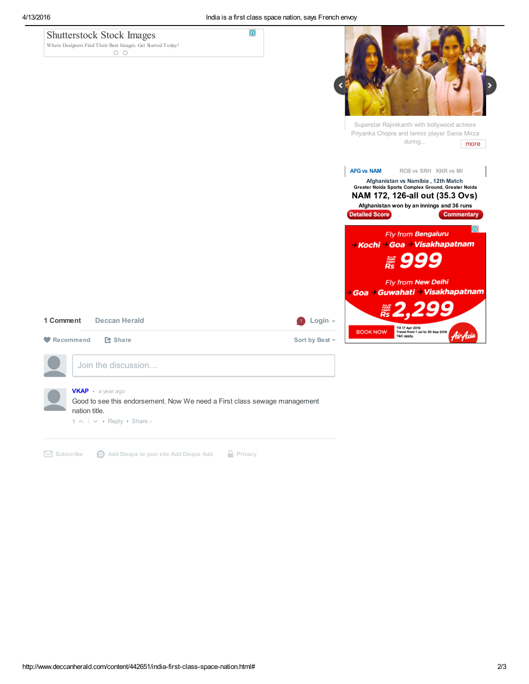| <b>Shutterstock Stock Images</b><br>Where Designers Find Their Best Images. Get Started Today!<br>$\circ$ $\circ$ | $\odot$                                                                                  |
|-------------------------------------------------------------------------------------------------------------------|------------------------------------------------------------------------------------------|
|                                                                                                                   |                                                                                          |
|                                                                                                                   |                                                                                          |
|                                                                                                                   |                                                                                          |
|                                                                                                                   | Superstar Rajinikanth with bollywood actress                                             |
|                                                                                                                   | Priyanka Chopra and tennis player Sania Mirza<br>during<br>more                          |
|                                                                                                                   |                                                                                          |
|                                                                                                                   | <b>AFG vs NAM</b><br>RCB vs SRH KKR vs MI                                                |
|                                                                                                                   | Afghanistan vs Namibia, 12th Match<br>Greater Noida Sports Complex Ground, Greater Noida |
|                                                                                                                   | NAM 172, 126-all out (35.3 Ovs)                                                          |
|                                                                                                                   | Afghanistan won by an innings and 36 runs                                                |
|                                                                                                                   | Detailed Score<br><b>Commentary</b>                                                      |
|                                                                                                                   | $\Omega$<br>Fly from Bengaluru                                                           |
|                                                                                                                   | → Kochi → Goa → Visakhapatnam                                                            |
|                                                                                                                   |                                                                                          |
|                                                                                                                   | ▒ 999                                                                                    |
|                                                                                                                   | Fly from New Delhi                                                                       |
|                                                                                                                   | <i>→</i> Goa → Guwahati → Visakhapatnam                                                  |
|                                                                                                                   |                                                                                          |
|                                                                                                                   | $\sum_{RS} Z, Z$                                                                         |
| 1 Comment<br><b>Deccan Herald</b>                                                                                 | Login $\sim$<br>Till 17 Apr 2016<br>Travel from 1 Jul to 30 Sep 2016<br><b>BOOK NOW</b>  |
| <b>Z</b> Share<br>Recommend                                                                                       | Air Asia<br>T&C apply.<br>Sort by Best -                                                 |
| Join the discussion                                                                                               |                                                                                          |
|                                                                                                                   |                                                                                          |
|                                                                                                                   |                                                                                          |

 $\boxtimes$  [Subscribe](https://disqus.com/)  $\bigcirc$  Add [Disqus](https://publishers.disqus.com/engage?utm_source=deccanherald&utm_medium=Disqus-Footer) to your site Add Disqus Add  $\bigcirc$  [Privacy](https://help.disqus.com/customer/portal/articles/1657951?utm_source=disqus&utm_medium=embed-footer&utm_content=privacy-btn)

 $1 \wedge \cdots \wedge \neg \text{Reply } \cdot \text{Share } \vee$